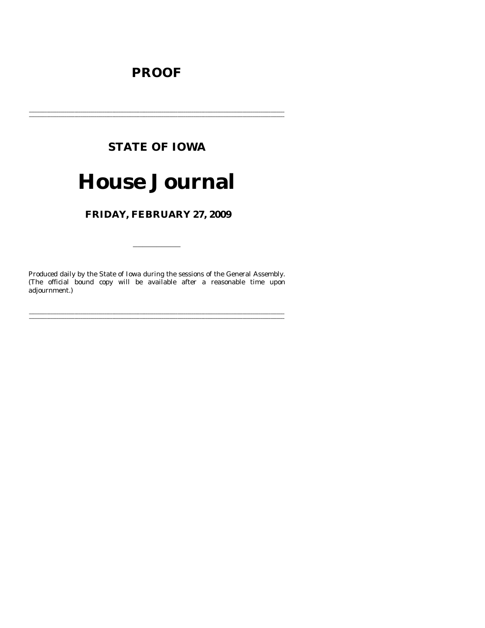# **PROOF**

# **STATE OF IOWA**

# **House Journal**

FRIDAY, FEBRUARY 27, 2009

Produced daily by the State of Iowa during the sessions of the General Assembly. (The official bound copy will be available after a reasonable time upon adjournment.)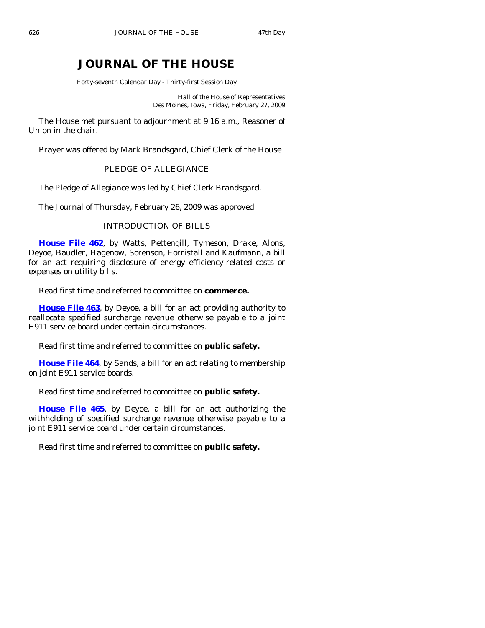# **JOURNAL OF THE HOUSE**

Forty-seventh Calendar Day - Thirty-first Session Day

Hall of the House of Representatives Des Moines, Iowa, Friday, February 27, 2009

 The House met pursuant to adjournment at 9:16 a.m., Reasoner of Union in the chair.

Prayer was offered by Mark Brandsgard, Chief Clerk of the House

# PLEDGE OF ALLEGIANCE

The Pledge of Allegiance was led by Chief Clerk Brandsgard.

The Journal of Thursday, February 26, 2009 was approved.

# INTRODUCTION OF BILLS

**[House File 462](http://coolice.legis.state.ia.us/Cool-ICE/default.asp?Category=billinfo&Service=Billbook&frame=1&GA=83&hbill=HF462)**, by Watts, Pettengill, Tymeson, Drake, Alons, Deyoe, Baudler, Hagenow, Sorenson, Forristall and Kaufmann, a bill for an act requiring disclosure of energy efficiency-related costs or expenses on utility bills.

Read first time and referred to committee on **commerce.** 

**[House File 463](http://coolice.legis.state.ia.us/Cool-ICE/default.asp?Category=billinfo&Service=Billbook&frame=1&GA=83&hbill=HF463)**, by Deyoe, a bill for an act providing authority to reallocate specified surcharge revenue otherwise payable to a joint E911 service board under certain circumstances.

Read first time and referred to committee on **public safety.** 

**[House File 464](http://coolice.legis.state.ia.us/Cool-ICE/default.asp?Category=billinfo&Service=Billbook&frame=1&GA=83&hbill=HF464)**, by Sands, a bill for an act relating to membership on joint E911 service boards.

Read first time and referred to committee on **public safety.** 

**[House File 465](http://coolice.legis.state.ia.us/Cool-ICE/default.asp?Category=billinfo&Service=Billbook&frame=1&GA=83&hbill=HF465)**, by Deyoe, a bill for an act authorizing the withholding of specified surcharge revenue otherwise payable to a joint E911 service board under certain circumstances.

Read first time and referred to committee on **public safety.**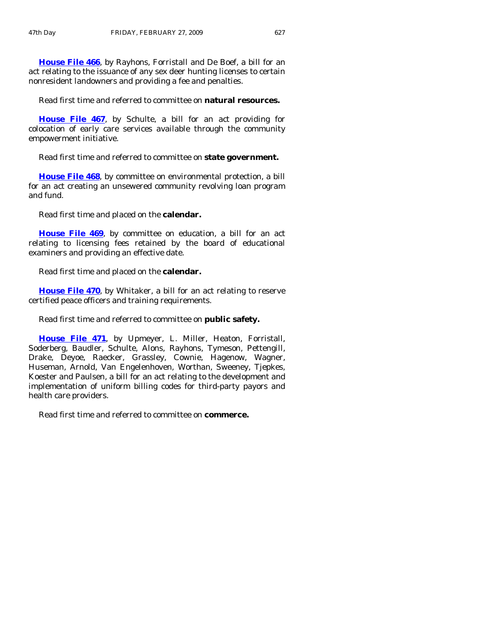**[House File 466](http://coolice.legis.state.ia.us/Cool-ICE/default.asp?Category=billinfo&Service=Billbook&frame=1&GA=83&hbill=HF466)**, by Rayhons, Forristall and De Boef, a bill for an act relating to the issuance of any sex deer hunting licenses to certain nonresident landowners and providing a fee and penalties.

Read first time and referred to committee on **natural resources.** 

**[House File 467](http://coolice.legis.state.ia.us/Cool-ICE/default.asp?Category=billinfo&Service=Billbook&frame=1&GA=83&hbill=HF467)**, by Schulte, a bill for an act providing for colocation of early care services available through the community empowerment initiative.

Read first time and referred to committee on **state government.** 

**[House File 468](http://coolice.legis.state.ia.us/Cool-ICE/default.asp?Category=billinfo&Service=Billbook&frame=1&GA=83&hbill=HF468)**, by committee on environmental protection, a bill for an act creating an unsewered community revolving loan program and fund.

Read first time and placed on the **calendar.** 

**[House File 469](http://coolice.legis.state.ia.us/Cool-ICE/default.asp?Category=billinfo&Service=Billbook&frame=1&GA=83&hbill=HF469)**, by committee on education, a bill for an act relating to licensing fees retained by the board of educational examiners and providing an effective date.

Read first time and placed on the **calendar.** 

**[House File 470](http://coolice.legis.state.ia.us/Cool-ICE/default.asp?Category=billinfo&Service=Billbook&frame=1&GA=83&hbill=HF470)**, by Whitaker, a bill for an act relating to reserve certified peace officers and training requirements.

Read first time and referred to committee on **public safety.** 

**[House File 471](http://coolice.legis.state.ia.us/Cool-ICE/default.asp?Category=billinfo&Service=Billbook&frame=1&GA=83&hbill=HF471)**, by Upmeyer, L. Miller, Heaton, Forristall, Soderberg, Baudler, Schulte, Alons, Rayhons, Tymeson, Pettengill, Drake, Deyoe, Raecker, Grassley, Cownie, Hagenow, Wagner, Huseman, Arnold, Van Engelenhoven, Worthan, Sweeney, Tjepkes, Koester and Paulsen, a bill for an act relating to the development and implementation of uniform billing codes for third-party payors and health care providers.

Read first time and referred to committee on **commerce.**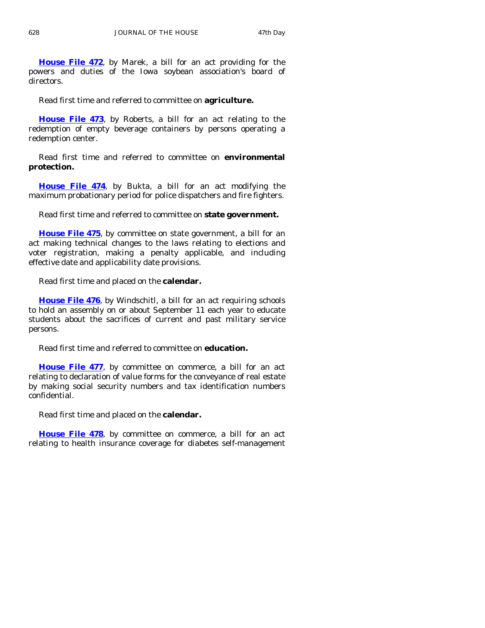**[House File 472](http://coolice.legis.state.ia.us/Cool-ICE/default.asp?Category=billinfo&Service=Billbook&frame=1&GA=83&hbill=HF472)**, by Marek, a bill for an act providing for the powers and duties of the Iowa soybean association's board of directors.

Read first time and referred to committee on **agriculture.** 

**[House File 473](http://coolice.legis.state.ia.us/Cool-ICE/default.asp?Category=billinfo&Service=Billbook&frame=1&GA=83&hbill=HF473)**, by Roberts, a bill for an act relating to the redemption of empty beverage containers by persons operating a redemption center.

 Read first time and referred to committee on **environmental protection.** 

**[House File 474](http://coolice.legis.state.ia.us/Cool-ICE/default.asp?Category=billinfo&Service=Billbook&frame=1&GA=83&hbill=HF474)**, by Bukta, a bill for an act modifying the maximum probationary period for police dispatchers and fire fighters.

Read first time and referred to committee on **state government.** 

**[House File 475](http://coolice.legis.state.ia.us/Cool-ICE/default.asp?Category=billinfo&Service=Billbook&frame=1&GA=83&hbill=HF475)**, by committee on state government, a bill for an act making technical changes to the laws relating to elections and voter registration, making a penalty applicable, and including effective date and applicability date provisions.

Read first time and placed on the **calendar.** 

**[House File 476](http://coolice.legis.state.ia.us/Cool-ICE/default.asp?Category=billinfo&Service=Billbook&frame=1&GA=83&hbill=HF476)**, by Windschitl, a bill for an act requiring schools to hold an assembly on or about September 11 each year to educate students about the sacrifices of current and past military service persons.

Read first time and referred to committee on **education.** 

**[House File 477](http://coolice.legis.state.ia.us/Cool-ICE/default.asp?Category=billinfo&Service=Billbook&frame=1&GA=83&hbill=HF477)**, by committee on commerce, a bill for an act relating to declaration of value forms for the conveyance of real estate by making social security numbers and tax identification numbers confidential.

Read first time and placed on the **calendar.** 

**[House File 478](http://coolice.legis.state.ia.us/Cool-ICE/default.asp?Category=billinfo&Service=Billbook&frame=1&GA=83&hbill=HF478)**, by committee on commerce, a bill for an act relating to health insurance coverage for diabetes self-management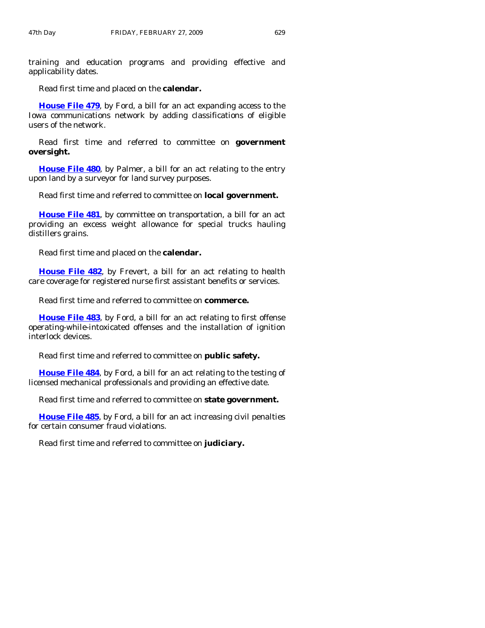training and education programs and providing effective and applicability dates.

Read first time and placed on the **calendar.** 

**[House File 479](http://coolice.legis.state.ia.us/Cool-ICE/default.asp?Category=billinfo&Service=Billbook&frame=1&GA=83&hbill=HF479)**, by Ford, a bill for an act expanding access to the Iowa communications network by adding classifications of eligible users of the network.

 Read first time and referred to committee on **government oversight.** 

**[House File 480](http://coolice.legis.state.ia.us/Cool-ICE/default.asp?Category=billinfo&Service=Billbook&frame=1&GA=83&hbill=HF480)**, by Palmer, a bill for an act relating to the entry upon land by a surveyor for land survey purposes.

Read first time and referred to committee on **local government.** 

**[House File 481](http://coolice.legis.state.ia.us/Cool-ICE/default.asp?Category=billinfo&Service=Billbook&frame=1&GA=83&hbill=HF481)**, by committee on transportation, a bill for an act providing an excess weight allowance for special trucks hauling distillers grains.

Read first time and placed on the **calendar.** 

**[House File 482](http://coolice.legis.state.ia.us/Cool-ICE/default.asp?Category=billinfo&Service=Billbook&frame=1&GA=83&hbill=HF482)**, by Frevert, a bill for an act relating to health care coverage for registered nurse first assistant benefits or services.

Read first time and referred to committee on **commerce.** 

**[House File 483](http://coolice.legis.state.ia.us/Cool-ICE/default.asp?Category=billinfo&Service=Billbook&frame=1&GA=83&hbill=HF483)**, by Ford, a bill for an act relating to first offense operating-while-intoxicated offenses and the installation of ignition interlock devices.

Read first time and referred to committee on **public safety.** 

**[House File 484](http://coolice.legis.state.ia.us/Cool-ICE/default.asp?Category=billinfo&Service=Billbook&frame=1&GA=83&hbill=HF484)**, by Ford, a bill for an act relating to the testing of licensed mechanical professionals and providing an effective date.

Read first time and referred to committee on **state government.** 

**[House File 485](http://coolice.legis.state.ia.us/Cool-ICE/default.asp?Category=billinfo&Service=Billbook&frame=1&GA=83&hbill=HF485)**, by Ford, a bill for an act increasing civil penalties for certain consumer fraud violations.

Read first time and referred to committee on **judiciary.**